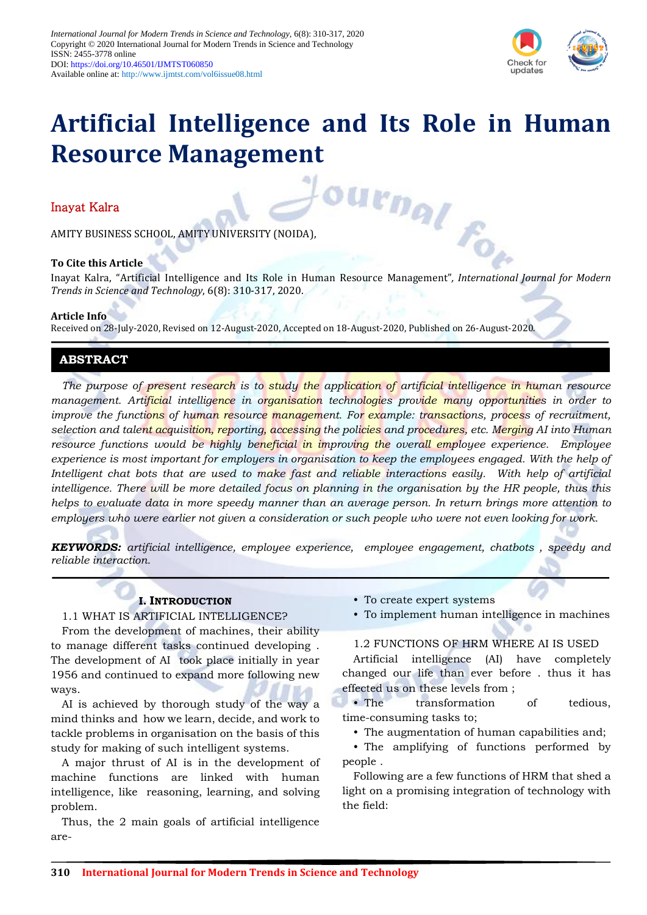

# **Artificial Intelligence and Its Role in Human Resource Management**

# Inayat Kalra

AMITY BUSINESS SCHOOL, AMITY UNIVERSITY (NOIDA),

#### **To Cite this Article**

Inayat Kalra<br>
AMITY BUSINESS SCHOOL, AMITY UNIVERSITY (NOIDA),<br> **To Cite this Article**<br>
Inayat Kalra, "Artificial Intelligence and Its Role in Human Resource Management", *International Journal for Modern Trends in Science and Technology*, 6(8): 310-317, 2020.

#### **Article Info**

Received on 28-July-2020, Revised on 12-August-2020, Accepted on 18-August-2020, Published on 26-August-2020.

# **ABSTRACT**

*The purpose of present research is to study the application of artificial intelligence in human resource management. Artificial intelligence in organisation technologies provide many opportunities in order to improve the functions of human resource management. For example: transactions, process of recruitment, selection and talent acquisition, reporting, accessing the policies and procedures, etc. Merging AI into Human resource functions would be highly beneficial in improving the overall employee experience. Employee experience is most important for employers in organisation to keep the employees engaged. With the help of Intelligent chat bots that are used to make fast and reliable interactions easily. With help of artificial intelligence. There will be more detailed focus on planning in the organisation by the HR people, thus this helps to evaluate data in more speedy manner than an average person. In return brings more attention to employers who were earlier not given a consideration or such people who were not even looking for work.*

*KEYWORDS: artificial intelligence, employee experience, employee engagement, chatbots , speedy and reliable interaction.*

### **I. INTRODUCTION**

#### 1.1 WHAT IS ARTIFICIAL INTELLIGENCE?

From the development of machines, their ability to manage different tasks continued developing . The development of AI took place initially in year 1956 and continued to expand more following new ways.

AI is achieved by thorough study of the way a mind thinks and how we learn, decide, and work to tackle problems in organisation on the basis of this study for making of such intelligent systems.

A major thrust of AI is in the development of machine functions are linked with human intelligence, like reasoning, learning, and solving problem.

Thus, the 2 main goals of artificial intelligence are-

- To create expert systems
- To implement human intelligence in machines

#### 1.2 FUNCTIONS OF HRM WHERE AI IS USED

Artificial intelligence (AI) have completely changed our life than ever before . thus it has effected us on these levels from ;

• The transformation of tedious, time-consuming tasks to;

• The augmentation of human capabilities and;

• The amplifying of functions performed by people .

Following are a few functions of HRM that shed a light on a promising integration of technology with the field: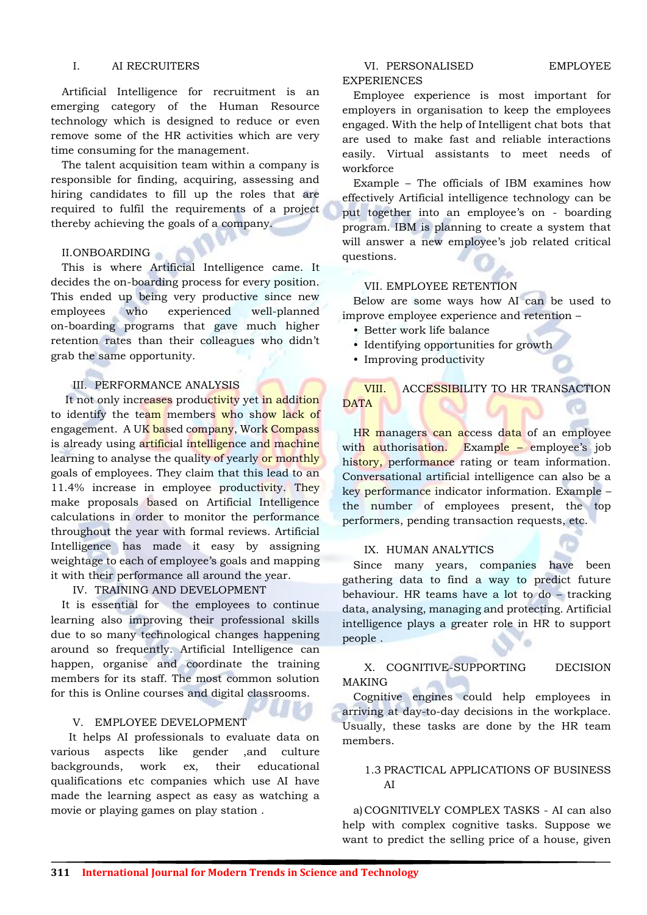#### I. AI RECRUITERS

Artificial Intelligence for recruitment is an emerging category of the Human Resource technology which is designed to reduce or even remove some of the HR activities which are very time consuming for the management.

The talent acquisition team within a company is responsible for finding, acquiring, assessing and hiring candidates to fill up the roles that are required to fulfil the requirements of a project thereby achieving the goals of a company.

#### II.ONBOARDING

This is where Artificial Intelligence came. It decides the on-boarding process for every position. This ended up being very productive since new employees who experienced well-planned on-boarding programs that gave much higher retention rates than their colleagues who didn't grab the same opportunity.

#### III. PERFORMANCE ANALYSIS

It not only increases productivity yet in addition to identify the team members who show lack of engagement. A UK based company, Work Compass is already using artificial intelligence and machine learning to analyse the quality of yearly or monthly goals of employees. They claim that this lead to an 11.4% increase in employee productivity. They make proposals based on Artificial Intelligence calculations in order to monitor the performance throughout the year with formal reviews. Artificial Intelligence has made it easy by assigning weightage to each of employee's goals and mapping it with their performance all around the year.

#### IV. TRAINING AND DEVELOPMENT

It is essential for the employees to continue learning also improving their professional skills due to so many technological changes happening around so frequently. Artificial Intelligence can happen, organise and coordinate the training members for its staff. The most common solution for this is Online courses and digital classrooms.

#### V. EMPLOYEE DEVELOPMENT

 It helps AI professionals to evaluate data on various aspects like gender ,and culture backgrounds, work ex, their educational qualifications etc companies which use AI have made the learning aspect as easy as watching a movie or playing games on play station .

# EXPERIENCES

Employee experience is most important for employers in organisation to keep the employees engaged. With the help of Intelligent chat bots that are used to make fast and reliable interactions easily. Virtual assistants to meet needs of workforce

Example – The officials of IBM examines how effectively Artificial intelligence technology can be put together into an employee's on - boarding program. IBM is planning to create a system that will answer a new employee's job related critical questions.

#### VII. EMPLOYEE RETENTION

Below are some ways how AI can be used to improve employee experience and retention –

- Better work life balance
- Identifying opportunities for growth
- Improving productivity

# VIII. ACCESSIBILITY TO HR TRANSACTION **DATA**

HR managers can access data of an employee with authorisation. Example – employee's job history, performance rating or team information. Conversational artificial intelligence can also be a key performance indicator information. Example – the number of employees present, the top performers, pending transaction requests, etc.

#### IX. HUMAN ANALYTICS

Since many years, companies have been gathering data to find a way to predict future behaviour. HR teams have a lot to do – tracking data, analysing, managing and protecting. Artificial intelligence plays a greater role in HR to support people . ib)

#### X. COGNITIVE-SUPPORTING DECISION MAKING

Cognitive engines could help employees in arriving at day-to-day decisions in the workplace. Usually, these tasks are done by the HR team members.

#### 1.3 PRACTICAL APPLICATIONS OF BUSINESS AI

a)COGNITIVELY COMPLEX TASKS - AI can also help with complex cognitive tasks. Suppose we want to predict the selling price of a house, given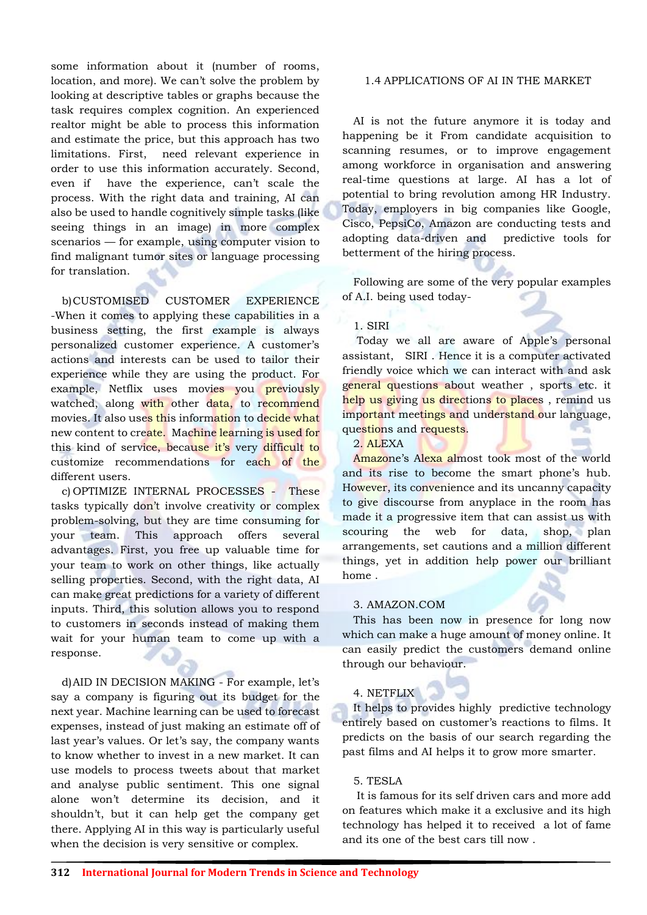some information about it (number of rooms, location, and more). We can't solve the problem by looking at descriptive tables or graphs because the task requires complex cognition. An experienced realtor might be able to process this information and estimate the price, but this approach has two limitations. First, need relevant experience in order to use this information accurately. Second, even if have the experience, can't scale the process. With the right data and training, AI can also be used to handle cognitively simple tasks (like seeing things in an image) in more complex scenarios — for example, using computer vision to find malignant tumor sites or language processing for translation.

b)CUSTOMISED CUSTOMER EXPERIENCE -When it comes to applying these capabilities in a business setting, the first example is always personalized customer experience. A customer's actions and interests can be used to tailor their experience while they are using the product. For example, Netflix uses movies you previously watched, along with other data, to recommend movies. It also uses this information to decide what new content to create. Machine learning is used for this kind of service, because it's very difficult to customize recommendations for each of the different users.

c) OPTIMIZE INTERNAL PROCESSES - These tasks typically don't involve creativity or complex problem-solving, but they are time consuming for your team. This approach offers several advantages. First, you free up valuable time for your team to work on other things, like actually selling properties. Second, with the right data, AI can make great predictions for a variety of different inputs. Third, this solution allows you to respond to customers in seconds instead of making them wait for your human team to come up with a response.

d)AID IN DECISION MAKING - For example, let's say a company is figuring out its budget for the next year. Machine learning can be used to forecast expenses, instead of just making an estimate off of last year's values. Or let's say, the company wants to know whether to invest in a new market. It can use models to process tweets about that market and analyse public sentiment. This one signal alone won't determine its decision, and it shouldn't, but it can help get the company get there. Applying AI in this way is particularly useful when the decision is very sensitive or complex.

#### 1.4 APPLICATIONS OF AI IN THE MARKET

AI is not the future anymore it is today and happening be it From candidate acquisition to scanning resumes, or to improve engagement among workforce in organisation and answering real-time questions at large. AI has a lot of potential to bring revolution among HR Industry. Today, employers in big companies like Google, Cisco, PepsiCo, Amazon are conducting tests and adopting data-driven and predictive tools for betterment of the hiring process.

Following are some of the very popular examples of A.I. being used today-

#### 1. SIRI

Today we all are aware of Apple's personal assistant, SIRI . Hence it is a computer activated friendly voice which we can interact with and ask general questions about weather, sports etc. it help us giving us directions to places, remind us important meetings and understand our language, questions and requests.

2. ALEXA

Amazone's Alexa almost took most of the world and its rise to become the smart phone's hub. However, its convenience and its uncanny capacity to give discourse from anyplace in the room has made it a progressive item that can assist us with scouring the web for data, shop, plan arrangements, set cautions and a million different things, yet in addition help power our brilliant home .

#### 3. AMAZON.COM

This has been now in presence for long now which can make a huge amount of money online. It can easily predict the customers demand online through our behaviour.

#### 4. NETFLIX

It helps to provides highly predictive technology entirely based on customer's reactions to films. It predicts on the basis of our search regarding the past films and AI helps it to grow more smarter.

#### 5. TESLA

It is famous for its self driven cars and more add on features which make it a exclusive and its high technology has helped it to received a lot of fame and its one of the best cars till now .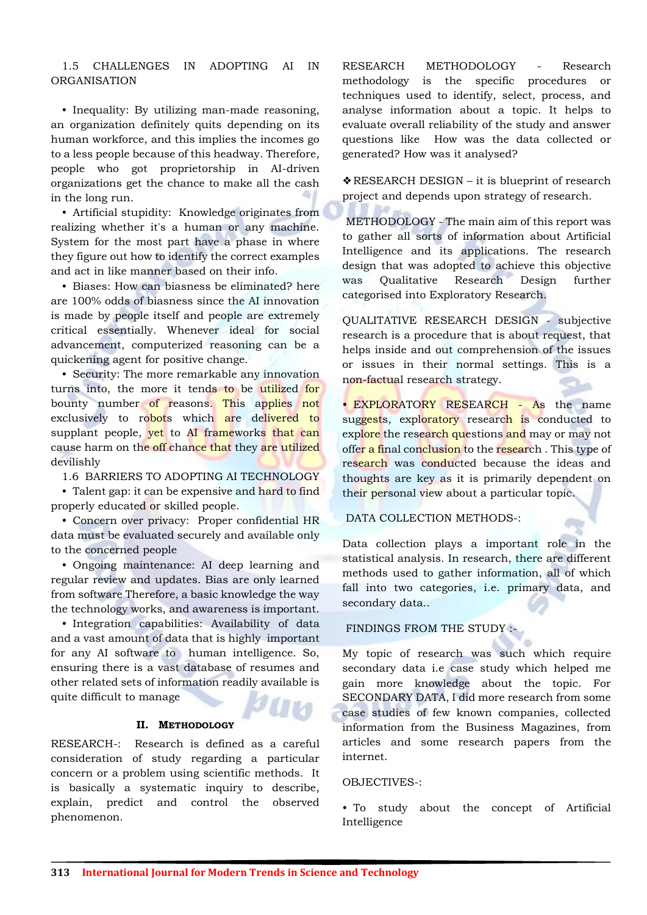## 1.5 CHALLENGES IN ADOPTING AI IN ORGANISATION

• Inequality: By utilizing man-made reasoning, an organization definitely quits depending on its human workforce, and this implies the incomes go to a less people because of this headway. Therefore, people who got proprietorship in AI-driven organizations get the chance to make all the cash in the long run.

• Artificial stupidity: Knowledge originates from realizing whether it's a human or any machine. System for the most part have a phase in where they figure out how to identify the correct examples and act in like manner based on their info.

• Biases: How can biasness be eliminated? here are 100% odds of biasness since the AI innovation is made by people itself and people are extremely critical essentially. Whenever ideal for social advancement, computerized reasoning can be a quickening agent for positive change.

• Security: The more remarkable any innovation turns into, the more it tends to be utilized for bounty number of reasons. This applies not exclusively to robots which are delivered to supplant people, yet to AI frameworks that can cause harm on the off chance that they are utilized devilishly

1.6 BARRIERS TO ADOPTING AI TECHNOLOGY

• Talent gap: it can be expensive and hard to find properly educated or skilled people.

• Concern over privacy: Proper confidential HR data must be evaluated securely and available only to the concerned people

• Ongoing maintenance: AI deep learning and regular review and updates. Bias are only learned from software Therefore, a basic knowledge the way the technology works, and awareness is important.

• Integration capabilities: Availability of data and a vast amount of data that is highly important for any AI software to human intelligence. So, ensuring there is a vast database of resumes and other related sets of information readily available is quite difficult to manage

#### **II. METHODOLOGY**

RESEARCH-: Research is defined as a careful consideration of study regarding a particular concern or a problem using scientific methods. It is basically a systematic inquiry to describe, explain, predict and control the observed phenomenon.

RESEARCH METHODOLOGY - Research methodology is the specific procedures or techniques used to identify, select, process, and analyse information about a topic. It helps to evaluate overall reliability of the study and answer questions like How was the data collected or generated? How was it analysed?

❖RESEARCH DESIGN – it is blueprint of research project and depends upon strategy of research.

METHODOLOGY - The main aim of this report was to gather all sorts of information about Artificial Intelligence and its applications. The research design that was adopted to achieve this objective was Qualitative Research Design further categorised into Exploratory Research.

QUALITATIVE RESEARCH DESIGN - subjective research is a procedure that is about request, that helps inside and out comprehension of the issues or issues in their normal settings. This is a non-factual research strategy.

• EXPLORATORY RESEARCH - As the name suggests, exploratory research is conducted to explore the research questions and may or may not offer a final conclusion to the research. This type of research was conducted because the ideas and thoughts are key as it is primarily dependent on their personal view about a particular topic.

#### DATA COLLECTION METHODS-:

Data collection plays a important role in the statistical analysis. In research, there are different methods used to gather information, all of which fall into two categories, i.e. primary data, and secondary data..

#### FINDINGS FROM THE STUDY :-

My topic of research was such which require secondary data i.e case study which helped me gain more knowledge about the topic. For SECONDARY DATA, I did more research from some case studies of few known companies, collected information from the Business Magazines, from articles and some research papers from the internet.

#### OBJECTIVES-

• To study about the concept of Artificial Intelligence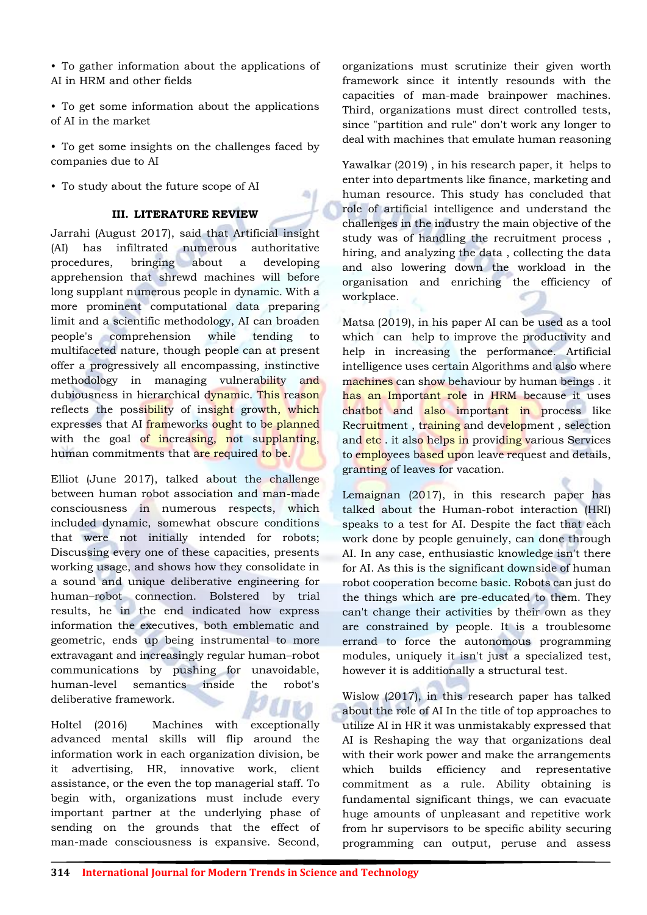• To gather information about the applications of AI in HRM and other fields

- To get some information about the applications of AI in the market
- To get some insights on the challenges faced by companies due to AI
- To study about the future scope of AI

#### **III. LITERATURE REVIEW**

۵I

Jarrahi (August 2017), said that Artificial insight (AI) has infiltrated numerous authoritative procedures, bringing about a developing apprehension that shrewd machines will before long supplant numerous people in dynamic. With a more prominent computational data preparing limit and a scientific methodology, AI can broaden people's comprehension while tending to multifaceted nature, though people can at present offer a progressively all encompassing, instinctive methodology in managing vulnerability and dubiousness in hierarchical dynamic. This reason reflects the possibility of insight growth, which expresses that AI frameworks ought to be planned with the goal of increasing, not supplanting, human commitments that are required to be.

Elliot (June 2017), talked about the challenge between human robot association and man-made consciousness in numerous respects, which included dynamic, somewhat obscure conditions that were not initially intended for robots; Discussing every one of these capacities, presents working usage, and shows how they consolidate in a sound and unique deliberative engineering for human–robot connection. Bolstered by trial results, he in the end indicated how express information the executives, both emblematic and geometric, ends up being instrumental to more extravagant and increasingly regular human–robot communications by pushing for unavoidable, human-level semantics inside the robot's deliberative framework.

Holtel (2016) Machines with exceptionally advanced mental skills will flip around the information work in each organization division, be it advertising, HR, innovative work, client assistance, or the even the top managerial staff. To begin with, organizations must include every important partner at the underlying phase of sending on the grounds that the effect of man-made consciousness is expansive. Second, organizations must scrutinize their given worth framework since it intently resounds with the capacities of man-made brainpower machines. Third, organizations must direct controlled tests, since "partition and rule" don't work any longer to deal with machines that emulate human reasoning

Yawalkar (2019) , in his research paper, it helps to enter into departments like finance, marketing and human resource. This study has concluded that role of artificial intelligence and understand the challenges in the industry the main objective of the study was of handling the recruitment process , hiring, and analyzing the data , collecting the data and also lowering down the workload in the organisation and enriching the efficiency of workplace.

Matsa (2019), in his paper AI can be used as a tool which can help to improve the productivity and help in increasing the performance. Artificial intelligence uses certain Algorithms and also where machines can show behaviour by human beings . it has an Important role in HRM because it uses chatbot and also important in process like Recruitment , training and development , selection and etc. it also helps in providing various Services to employees based upon leave request and details, granting of leaves for vacation.

Lemaignan (2017), in this research paper has talked about the Human-robot interaction (HRI) speaks to a test for AI. Despite the fact that each work done by people genuinely, can done through AI. In any case, enthusiastic knowledge isn't there for AI. As this is the significant downside of human robot cooperation become basic. Robots can just do the things which are pre-educated to them. They can't change their activities by their own as they are constrained by people. It is a troublesome errand to force the autonomous programming modules, uniquely it isn't just a specialized test, however it is additionally a structural test.

Wislow (2017), in this research paper has talked about the role of AI In the title of top approaches to utilize AI in HR it was unmistakably expressed that AI is Reshaping the way that organizations deal with their work power and make the arrangements which builds efficiency and representative commitment as a rule. Ability obtaining is fundamental significant things, we can evacuate huge amounts of unpleasant and repetitive work from hr supervisors to be specific ability securing programming can output, peruse and assess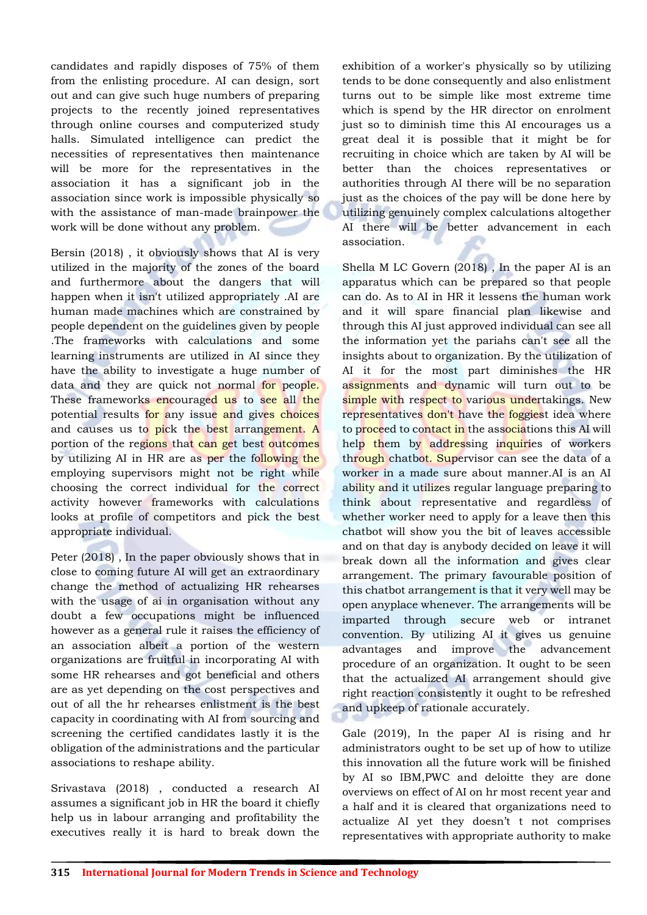candidates and rapidly disposes of 75% of them from the enlisting procedure. AI can design, sort out and can give such huge numbers of preparing projects to the recently joined representatives through online courses and computerized study halls. Simulated intelligence can predict the necessities of representatives then maintenance will be more for the representatives in the association it has a significant job in the association since work is impossible physically so with the assistance of man-made brainpower the work will be done without any problem.

Bersin (2018) , it obviously shows that AI is very utilized in the majority of the zones of the board and furthermore about the dangers that will happen when it isn't utilized appropriately .AI are human made machines which are constrained by people dependent on the guidelines given by people .The frameworks with calculations and some learning instruments are utilized in AI since they have the ability to investigate a huge number of data and they are quick not normal for people. These frameworks encouraged us to see all the potential results for any issue and gives choices and causes us to pick the best arrangement. A portion of the regions that can get best outcomes by utilizing AI in HR are as per the following the employing supervisors might not be right while choosing the correct individual for the correct activity however frameworks with calculations looks at profile of competitors and pick the best appropriate individual.

Peter (2018) , In the paper obviously shows that in close to coming future AI will get an extraordinary change the method of actualizing HR rehearses with the usage of ai in organisation without any doubt a few occupations might be influenced however as a general rule it raises the efficiency of an association albeit a portion of the western organizations are fruitful in incorporating AI with some HR rehearses and got beneficial and others are as yet depending on the cost perspectives and out of all the hr rehearses enlistment is the best capacity in coordinating with AI from sourcing and screening the certified candidates lastly it is the obligation of the administrations and the particular associations to reshape ability.

Srivastava (2018) , conducted a research AI assumes a significant job in HR the board it chiefly help us in labour arranging and profitability the executives really it is hard to break down the

exhibition of a worker's physically so by utilizing tends to be done consequently and also enlistment turns out to be simple like most extreme time which is spend by the HR director on enrolment just so to diminish time this AI encourages us a great deal it is possible that it might be for recruiting in choice which are taken by AI will be better than the choices representatives or authorities through AI there will be no separation just as the choices of the pay will be done here by utilizing genuinely complex calculations altogether AI there will be better advancement in each association.

Shella M LC Govern (2018) , In the paper AI is an apparatus which can be prepared so that people can do. As to AI in HR it lessens the human work and it will spare financial plan likewise and through this AI just approved individual can see all the information yet the pariahs can't see all the insights about to organization. By the utilization of AI it for the most part diminishes the HR assignments and dynamic will turn out to be simple with respect to various undertakings. New representatives don't have the foggiest idea where to proceed to contact in the associations this AI will help them by addressing inquiries of workers through chatbot. Supervisor can see the data of a worker in a made sure about manner.AI is an AI ability and it utilizes regular language preparing to think about representative and regardless of whether worker need to apply for a leave then this chatbot will show you the bit of leaves accessible and on that day is anybody decided on leave it will break down all the information and gives clear arrangement. The primary favourable position of this chatbot arrangement is that it very well may be open anyplace whenever. The arrangements will be imparted through secure web or intranet convention. By utilizing AI it gives us genuine advantages and improve the advancement procedure of an organization. It ought to be seen that the actualized AI arrangement should give right reaction consistently it ought to be refreshed and upkeep of rationale accurately.

Gale (2019), In the paper AI is rising and hr administrators ought to be set up of how to utilize this innovation all the future work will be finished by AI so IBM,PWC and deloitte they are done overviews on effect of AI on hr most recent year and a half and it is cleared that organizations need to actualize AI yet they doesn't t not comprises representatives with appropriate authority to make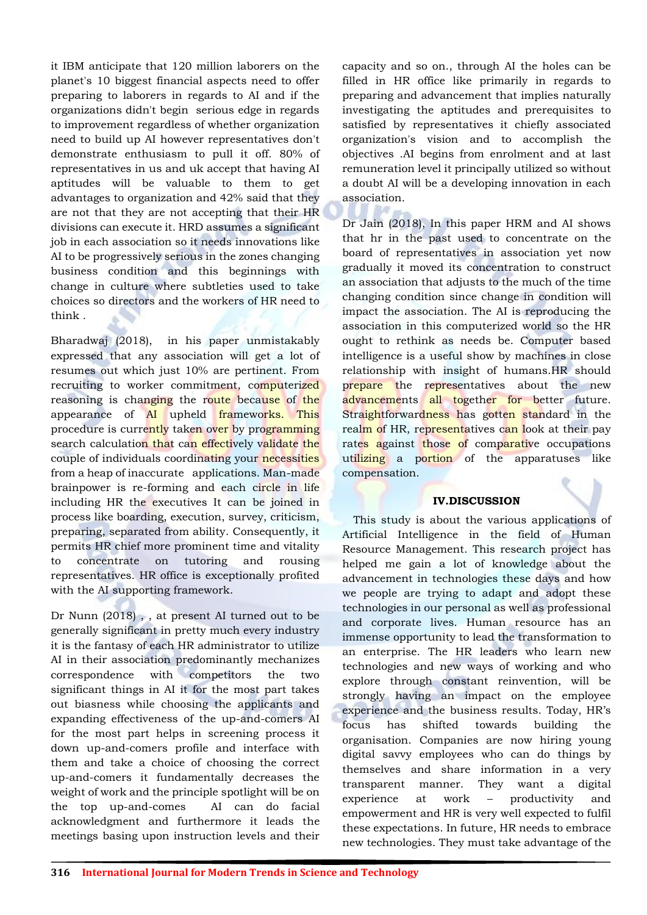it IBM anticipate that 120 million laborers on the planet's 10 biggest financial aspects need to offer preparing to laborers in regards to AI and if the organizations didn't begin serious edge in regards to improvement regardless of whether organization need to build up AI however representatives don't demonstrate enthusiasm to pull it off. 80% of representatives in us and uk accept that having AI aptitudes will be valuable to them to get advantages to organization and 42% said that they are not that they are not accepting that their HR divisions can execute it. HRD assumes a significant job in each association so it needs innovations like AI to be progressively serious in the zones changing business condition and this beginnings with change in culture where subtleties used to take choices so directors and the workers of HR need to think .

Bharadwaj (2018), in his paper unmistakably expressed that any association will get a lot of resumes out which just 10% are pertinent. From recruiting to worker commitment, computerized reasoning is changing the route because of the appearance of AI upheld frameworks. This procedure is currently taken over by programming search calculation that can effectively validate the couple of individuals coordinating your necessities from a heap of inaccurate applications. Man-made brainpower is re-forming and each circle in life including HR the executives It can be joined in process like boarding, execution, survey, criticism, preparing, separated from ability. Consequently, it permits HR chief more prominent time and vitality to concentrate on tutoring and rousing representatives. HR office is exceptionally profited with the AI supporting framework.

Dr Nunn (2018) , , at present AI turned out to be generally significant in pretty much every industry it is the fantasy of each HR administrator to utilize AI in their association predominantly mechanizes correspondence with competitors the two significant things in AI it for the most part takes out biasness while choosing the applicants and expanding effectiveness of the up-and-comers AI for the most part helps in screening process it down up-and-comers profile and interface with them and take a choice of choosing the correct up-and-comers it fundamentally decreases the weight of work and the principle spotlight will be on the top up-and-comes AI can do facial acknowledgment and furthermore it leads the meetings basing upon instruction levels and their

capacity and so on., through AI the holes can be filled in HR office like primarily in regards to preparing and advancement that implies naturally investigating the aptitudes and prerequisites to satisfied by representatives it chiefly associated organization's vision and to accomplish the objectives .AI begins from enrolment and at last remuneration level it principally utilized so without a doubt AI will be a developing innovation in each association.

Dr Jain (2018), In this paper HRM and AI shows that hr in the past used to concentrate on the board of representatives in association yet now gradually it moved its concentration to construct an association that adjusts to the much of the time changing condition since change in condition will impact the association. The AI is reproducing the association in this computerized world so the HR ought to rethink as needs be. Computer based intelligence is a useful show by machines in close relationship with insight of humans.HR should prepare the representatives about the new advancements all together for better future. Straightforwardness has gotten standard in the realm of HR, representatives can look at their pay rates against those of comparative occupations utilizing a portion of the apparatuses like compensation.

#### **IV.DISCUSSION**

This study is about the various applications of Artificial Intelligence in the field of Human Resource Management. This research project has helped me gain a lot of knowledge about the advancement in technologies these days and how we people are trying to adapt and adopt these technologies in our personal as well as professional and corporate lives. Human resource has an immense opportunity to lead the transformation to an enterprise. The HR leaders who learn new technologies and new ways of working and who explore through constant reinvention, will be strongly having an impact on the employee experience and the business results. Today, HR's focus has shifted towards building the organisation. Companies are now hiring young digital savvy employees who can do things by themselves and share information in a very transparent manner. They want a digital experience at work – productivity and empowerment and HR is very well expected to fulfil these expectations. In future, HR needs to embrace new technologies. They must take advantage of the